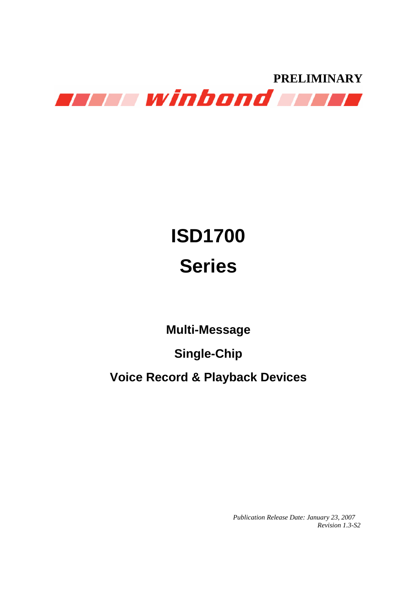

# **ISD1700 Series**

**Multi-Message** 

**Single-Chip** 

**Voice Record & Playback Devices** 

 *Publication Release Date: January 23, 2007 Revision 1.3-S2*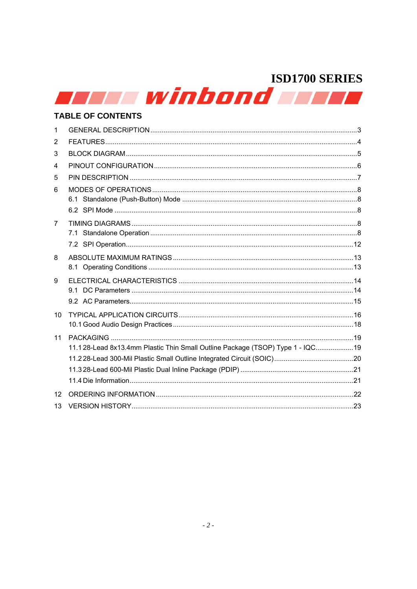|    | a kata winbond a kata                                                          |  |
|----|--------------------------------------------------------------------------------|--|
|    | <b>TABLE OF CONTENTS</b>                                                       |  |
| 1  |                                                                                |  |
| 2  |                                                                                |  |
| 3  |                                                                                |  |
| 4  |                                                                                |  |
| 5  |                                                                                |  |
| 6  |                                                                                |  |
|    |                                                                                |  |
|    |                                                                                |  |
| 7  |                                                                                |  |
|    |                                                                                |  |
| 8  |                                                                                |  |
|    |                                                                                |  |
| 9  |                                                                                |  |
|    |                                                                                |  |
|    |                                                                                |  |
| 10 |                                                                                |  |
|    |                                                                                |  |
| 11 |                                                                                |  |
|    | 11.128-Lead 8x13.4mm Plastic Thin Small Outline Package (TSOP) Type 1 - IQC 19 |  |
|    |                                                                                |  |
|    |                                                                                |  |
|    |                                                                                |  |
| 12 |                                                                                |  |
| 13 |                                                                                |  |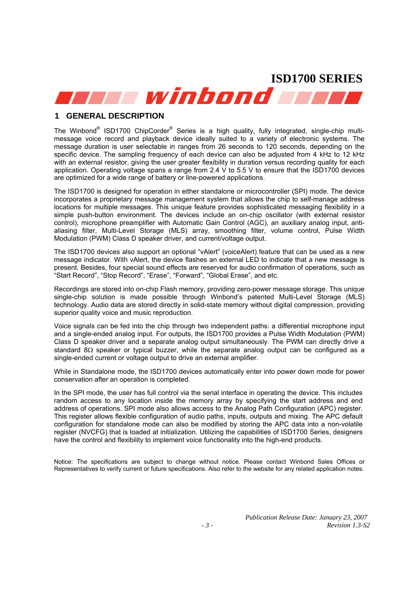winbond wh

#### **1 GENERAL DESCRIPTION**

The Winbond<sup>®</sup> ISD1700 ChipCorder<sup>®</sup> Series is a high quality, fully integrated, single-chip multimessage voice record and playback device ideally suited to a variety of electronic systems. The message duration is user selectable in ranges from 26 seconds to 120 seconds, depending on the specific device. The sampling frequency of each device can also be adjusted from 4 kHz to 12 kHz with an external resistor, giving the user greater flexibility in duration versus recording quality for each application. Operating voltage spans a range from 2.4 V to 5.5 V to ensure that the ISD1700 devices are optimized for a wide range of battery or line-powered applications.

The ISD1700 is designed for operation in either standalone or microcontroller (SPI) mode. The device incorporates a proprietary message management system that allows the chip to self-manage address locations for multiple messages. This unique feature provides sophisticated messaging flexibility in a simple push-button environment. The devices include an on-chip oscillator (with external resistor control), microphone preamplifier with Automatic Gain Control (AGC), an auxiliary analog input, antialiasing filter, Multi-Level Storage (MLS) array, smoothing filter, volume control, Pulse Width Modulation (PWM) Class D speaker driver, and current/voltage output.

The ISD1700 devices also support an optional "vAlert" (voiceAlert) feature that can be used as a new message indicator. With vAlert, the device flashes an external LED to indicate that a new message is present. Besides, four special sound effects are reserved for audio confirmation of operations, such as "Start Record", "Stop Record", "Erase", "Forward", "Global Erase", and etc.

Recordings are stored into on-chip Flash memory, providing zero-power message storage. This unique single-chip solution is made possible through Winbond's patented Multi-Level Storage (MLS) technology. Audio data are stored directly in solid-state memory without digital compression, providing superior quality voice and music reproduction.

Voice signals can be fed into the chip through two independent paths: a differential microphone input and a single-ended analog input. For outputs, the ISD1700 provides a Pulse Width Modulation (PWM) Class D speaker driver and a separate analog output simultaneously. The PWM can directly drive a standard 8Ω speaker or typical buzzer, while the separate analog output can be configured as a single-ended current or voltage output to drive an external amplifier.

While in Standalone mode, the ISD1700 devices automatically enter into power down mode for power conservation after an operation is completed.

In the SPI mode, the user has full control via the serial interface in operating the device. This includes random access to any location inside the memory array by specifying the start address and end address of operations. SPI mode also allows access to the Analog Path Configuration (APC) register. This register allows flexible configuration of audio paths, inputs, outputs and mixing. The APC default configuration for standalone mode can also be modified by storing the APC data into a non-volatile register (NVCFG) that is loaded at initialization. Utilizing the capabilities of ISD1700 Series, designers have the control and flexibility to implement voice functionality into the high-end products.

Notice: The specifications are subject to change without notice. Please contact Winbond Sales Offices or Representatives to verify current or future specifications. Also refer to the website for any related application notes.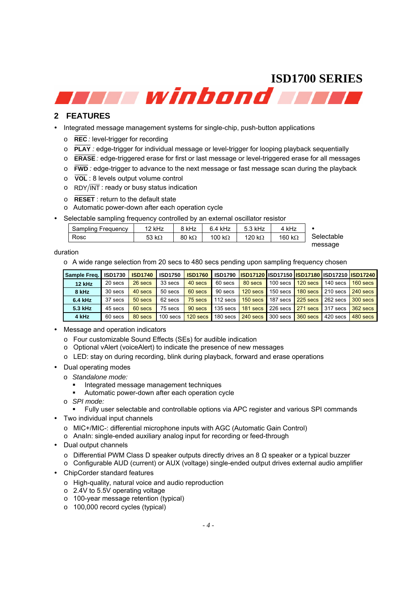winbond wir

#### **2 FEATURES**

- Integrated message management systems for single-chip, push-button applications
	- o **REC** *:* level-trigger for recording
	- o **PLAY** *:* edge-trigger for individual message or level-trigger for looping playback sequentially
	- o **ERASE** *:* edge-triggered erase for first or last message or level-triggered erase for all messages
	- o **FWD** *:* edge-trigger to advance to the next message or fast message scan during the playback
	- o **VOL** : 8 levels output volume control
	- $\circ$  RDY/ $\overline{\text{INT}}$ : ready or busy status indication
	- o **RESET** : return to the default state
	- o Automatic power-down after each operation cycle
- Selectable sampling frequency controlled by an external oscillator resistor

| Sampling Frequency | 12 kHz        | 8 kHz         | $6.4$ kHz      | 5.3 kHz        | 4 kHz          |            |
|--------------------|---------------|---------------|----------------|----------------|----------------|------------|
| Rosc               | 53 k $\Omega$ | 80 k $\Omega$ | 100 k $\Omega$ | 120 k $\Omega$ | 160 k $\Omega$ | Selectable |
|                    |               |               |                |                |                | message    |

duration

o A wide range selection from 20 secs to 480 secs pending upon sampling frequency chosen

| Sample Freq. | <b>ISD1730</b> | <b>ISD1740</b> | <b>ISD1750</b> | <b>ISD1760</b> | <b>ISD1790</b> |            |            |            | <u> ISD17120   SD17150   SD17180   SD17210   SD17240  </u> |            |
|--------------|----------------|----------------|----------------|----------------|----------------|------------|------------|------------|------------------------------------------------------------|------------|
| 12 kHz       | 20 secs        | 26 secs        | 33 secs        | 40 secs        | 60 secs        | 80 secs    | $100$ secs | $120$ secs | $140$ secs                                                 | $160$ secs |
| 8 kHz        | 30 secs        | 40 secs        | 50 secs        | 60 secs        | 90 secs        | $120$ secs | $150$ secs | $180$ secs | $210$ secs                                                 | 240 secs   |
| 6.4 kHz      | 37 secs        | 50 secs        | 62 secs        | 75 secs        | $112$ secs     | 150 secs   | 187 secs   | $225$ secs | 262 secs                                                   | 300 secs   |
| 5.3 kHz      | 45 secs        | 60 secs        | 75 secs        | 90 secs        | $135$ secs     | 181 secs   | $226$ secs | 271 secs   | 317 secs                                                   | 362 secs   |
| 4 kHz        | 60 secs        | 80 secs        | 100 secs       | 120 secs       | 180 secs       | 240 secs   | 300 secs   | 360 secs   | 420 secs                                                   | 480 secs   |

- Message and operation indicators
	- o Four customizable Sound Effects (SEs) for audible indication
	- o Optional vAlert (voiceAlert) to indicate the presence of new messages
	- o LED: stay on during recording, blink during playback, forward and erase operations
- Dual operating modes
	- o *Standalone mode:* 
		- **Integrated message management techniques**
		- Automatic power-down after each operation cycle
	- o *SPI mode:* 
		- Fully user selectable and controllable options via APC register and various SPI commands
- Two individual input channels
	- o MIC+/MIC-: differential microphone inputs with AGC (Automatic Gain Control)
	- o AnaIn: single-ended auxiliary analog input for recording or feed-through
- Dual output channels
	- o Differential PWM Class D speaker outputs directly drives an 8 Ω speaker or a typical buzzer
	- o Configurable AUD (current) or AUX (voltage) single-ended output drives external audio amplifier
- ChipCorder standard features
	- o High-quality, natural voice and audio reproduction
	- o 2.4V to 5.5V operating voltage
	- o 100-year message retention (typical)
	- o 100,000 record cycles (typical)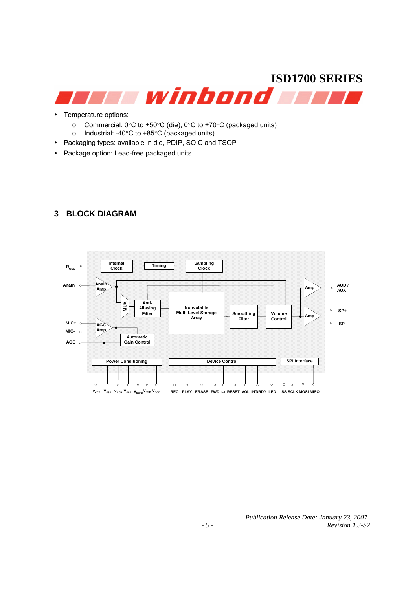- Temperature options:
	- o Commercial: 0°C to +50°C (die); 0°C to +70°C (packaged units)
	- o Industrial: -40°C to +85°C (packaged units)
- Packaging types: available in die, PDIP, SOIC and TSOP
- Package option: Lead-free packaged units



#### **3 BLOCK DIAGRAM**

 *Publication Release Date: January 23, 2007 Revision 1.3-S2*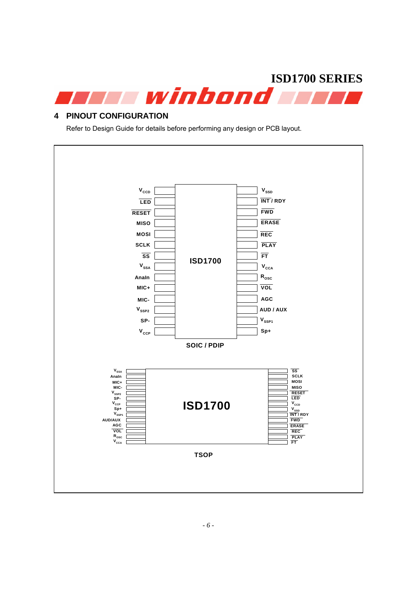

#### **4 PINOUT CONFIGURATION**

Refer to Design Guide for details before performing any design or PCB layout.

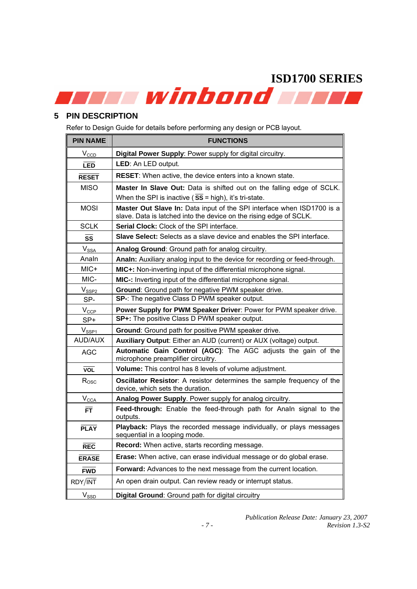#### **5 PIN DESCRIPTION**

Refer to Design Guide for details before performing any design or PCB layout.

| <b>PIN NAME</b>   | <b>FUNCTIONS</b>                                                                                                                             |
|-------------------|----------------------------------------------------------------------------------------------------------------------------------------------|
| $V_{CCD}$         | Digital Power Supply: Power supply for digital circuitry.                                                                                    |
| <b>LED</b>        | LED: An LED output.                                                                                                                          |
| <b>RESET</b>      | RESET: When active, the device enters into a known state.                                                                                    |
| <b>MISO</b>       | Master In Slave Out: Data is shifted out on the falling edge of SCLK.                                                                        |
|                   | When the SPI is inactive ( $SS = high$ ), it's tri-state.                                                                                    |
| <b>MOSI</b>       | Master Out Slave In: Data input of the SPI interface when ISD1700 is a<br>slave. Data is latched into the device on the rising edge of SCLK. |
| <b>SCLK</b>       | <b>Serial Clock:</b> Clock of the SPI interface.                                                                                             |
| SS                | Slave Select: Selects as a slave device and enables the SPI interface.                                                                       |
| $V_{SSA}$         | Analog Ground: Ground path for analog circuitry.                                                                                             |
| Analn             | Analn: Auxiliary analog input to the device for recording or feed-through.                                                                   |
| MIC+              | MIC+: Non-inverting input of the differential microphone signal.                                                                             |
| MIC-              | MIC-: Inverting input of the differential microphone signal.                                                                                 |
| $V_\mathrm{SSP2}$ | Ground: Ground path for negative PWM speaker drive.                                                                                          |
| SP-               | SP-: The negative Class D PWM speaker output.                                                                                                |
| $V_{CCP}$         | Power Supply for PWM Speaker Driver: Power for PWM speaker drive.                                                                            |
| SP+               | SP+: The positive Class D PWM speaker output.                                                                                                |
| $V_{SSP1}$        | Ground: Ground path for positive PWM speaker drive.                                                                                          |
| <b>AUD/AUX</b>    | Auxiliary Output: Either an AUD (current) or AUX (voltage) output.                                                                           |
| <b>AGC</b>        | Automatic Gain Control (AGC): The AGC adjusts the gain of the<br>microphone preamplifier circuitry.                                          |
| <b>VOL</b>        | Volume: This control has 8 levels of volume adjustment.                                                                                      |
| $R_{\rm{OSC}}$    | Oscillator Resistor: A resistor determines the sample frequency of the<br>device, which sets the duration.                                   |
| $V_{\text{CCA}}$  | Analog Power Supply. Power supply for analog circuitry.                                                                                      |
| <b>FT</b>         | Feed-through: Enable the feed-through path for Analn signal to the<br>outputs.                                                               |
| <b>PLAY</b>       | Playback: Plays the recorded message individually, or plays messages<br>sequential in a looping mode.                                        |
| <b>REC</b>        | Record: When active, starts recording message.                                                                                               |
| <b>ERASE</b>      | Erase: When active, can erase individual message or do global erase.                                                                         |
| <b>FWD</b>        | Forward: Advances to the next message from the current location.                                                                             |
| RDY/INT           | An open drain output. Can review ready or interrupt status.                                                                                  |
| <b>V</b> ssp      | Digital Ground: Ground path for digital circuitry                                                                                            |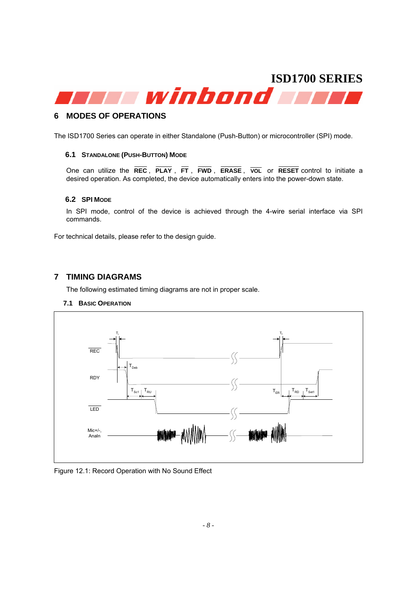# **ISD1700 SERIES**  winbond **T**

#### **6 MODES OF OPERATIONS**

The ISD1700 Series can operate in either Standalone (Push-Button) or microcontroller (SPI) mode.

#### **6.1 STANDALONE (PUSH-BUTTON) MODE**

One can utilize the **REC** , **PLAY** , **FT** , **FWD** , **ERASE** , **VOL** or **RESET** control to initiate a desired operation. As completed, the device automatically enters into the power-down state.

#### **6.2 SPI MODE**

In SPI mode, control of the device is achieved through the 4-wire serial interface via SPI commands.

For technical details, please refer to the design guide.

#### **7 TIMING DIAGRAMS**

The following estimated timing diagrams are not in proper scale.

#### **7.1 BASIC OPERATION**



#### Figure 12.1: Record Operation with No Sound Effect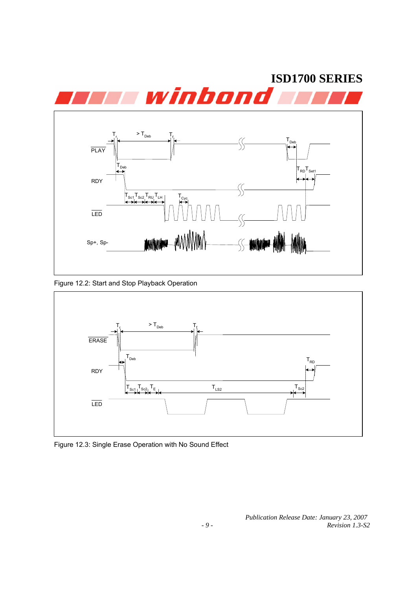

Figure 12.2: Start and Stop Playback Operation



Figure 12.3: Single Erase Operation with No Sound Effect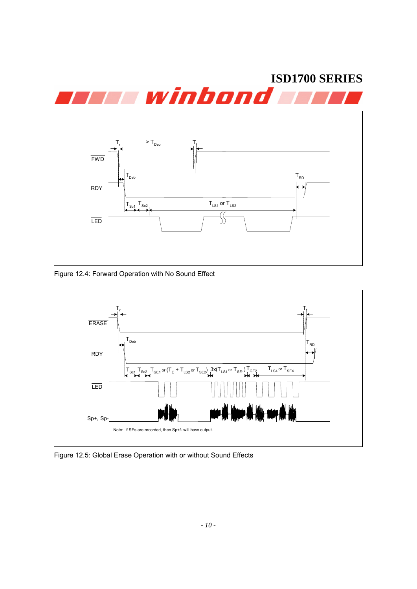

Figure 12.4: Forward Operation with No Sound Effect



Figure 12.5: Global Erase Operation with or without Sound Effects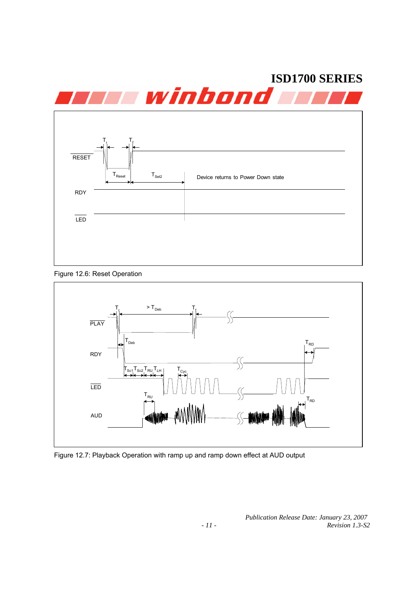





Figure 12.7: Playback Operation with ramp up and ramp down effect at AUD output

 *Publication Release Date: January 23, 2007 Revision 1.3-S2*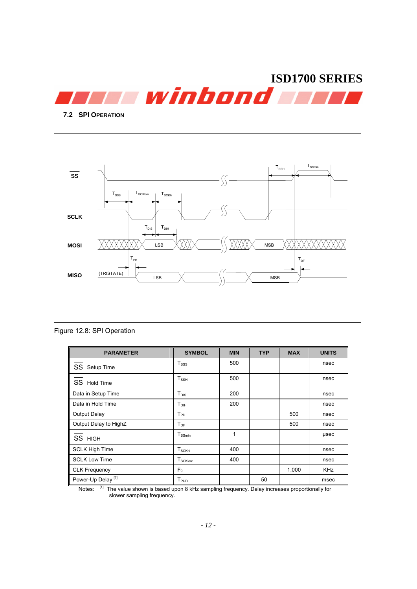

**7.2 SPI OPERATION**



Figure 12.8: SPI Operation

| <b>PARAMETER</b>              | <b>SYMBOL</b>                        | <b>MIN</b> | <b>TYP</b> | <b>MAX</b> | <b>UNITS</b> |
|-------------------------------|--------------------------------------|------------|------------|------------|--------------|
| SS<br>Setup Time              | T <sub>SSS</sub>                     | 500        |            |            | nsec         |
| SS Hold Time                  | $T_{\rm SSH}$                        | 500        |            |            | nsec         |
| Data in Setup Time            | $T_{DIS}$                            | 200        |            |            | nsec         |
| Data in Hold Time             | $T_{DH}$                             | 200        |            |            | nsec         |
| <b>Output Delay</b>           | $T_{PD}$                             |            |            | 500        | nsec         |
| Output Delay to HighZ         | $T_{DF}$                             |            |            | 500        | nsec         |
| SS HIGH                       | $T_{SSmin}$                          | 1          |            |            | usec         |
| <b>SCLK High Time</b>         | $T_{\scriptscriptstyle\text{SCKhi}}$ | 400        |            |            | nsec         |
| <b>SCLK Low Time</b>          | $T_{\scriptstyle\text{SCKlow}}$      | 400        |            |            | nsec         |
| CLK Frequency                 | F <sub>0</sub>                       |            |            | 1,000      | <b>KHz</b>   |
| Power-Up Delay <sup>[1]</sup> | $T_{PUD}$                            |            | 50         |            | msec         |

Notes: [1] The value shown is based upon 8 kHz sampling frequency. Delay increases proportionally for slower sampling frequency.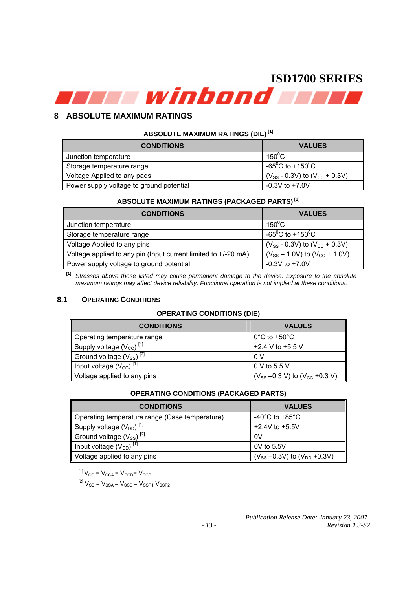#### **8 ABSOLUTE MAXIMUM RATINGS**

#### **ABSOLUTE MAXIMUM RATINGS (DIE) [1]**

| <b>CONDITIONS</b>                        | <b>VALUES</b>                             |
|------------------------------------------|-------------------------------------------|
| Junction temperature                     | $150^{\circ}$ C                           |
| Storage temperature range                | -65 <sup>o</sup> C to +150 <sup>o</sup> C |
| Voltage Applied to any pads              | $(V_{SS} - 0.3V)$ to $(V_{CC} + 0.3V)$    |
| Power supply voltage to ground potential | $-0.3V$ to $+7.0V$                        |

#### **ABSOLUTE MAXIMUM RATINGS (PACKAGED PARTS) [1]**

| <b>CONDITIONS</b>                                              | <b>VALUES</b>                             |
|----------------------------------------------------------------|-------------------------------------------|
| Junction temperature                                           | $150^0$ C                                 |
| Storage temperature range                                      | -65 <sup>0</sup> C to +150 <sup>0</sup> C |
| Voltage Applied to any pins                                    | $(V_{SS} - 0.3V)$ to $(V_{CC} + 0.3V)$    |
| Voltage applied to any pin (Input current limited to +/-20 mA) | $(V_{SS} - 1.0V)$ to $(V_{CC} + 1.0V)$    |
| Power supply voltage to ground potential                       | $-0.3V$ to $+7.0V$                        |

**[1]** *Stresses above those listed may cause permanent damage to the device. Exposure to the absolute maximum ratings may affect device reliability. Functional operation is not implied at these conditions.* 

#### **8.1 OPERATING CONDITIONS**

#### **OPERATING CONDITIONS (DIE)**

| <b>CONDITIONS</b>                        | <b>VALUES</b>                          |
|------------------------------------------|----------------------------------------|
| Operating temperature range              | $0^{\circ}$ C to +50 $^{\circ}$ C      |
| Supply voltage $(V_{CC})$ <sup>[1]</sup> | +2.4 V to +5.5 V                       |
| Ground voltage $(V_{SS})^{[2]}$          | 0 V                                    |
| Input voltage $(V_{CC})$ <sup>[1]</sup>  | 0 V to 5.5 V                           |
| Voltage applied to any pins              | $(V_{SS} -0.3 V)$ to $(V_{CC} +0.3 V)$ |

#### **OPERATING CONDITIONS (PACKAGED PARTS)**

| <b>CONDITIONS</b>                              | <b>VALUES</b>                          |
|------------------------------------------------|----------------------------------------|
| Operating temperature range (Case temperature) | -40 $^{\circ}$ C to +85 $^{\circ}$ C   |
| Supply voltage $(V_{DD})$ <sup>[1]</sup>       | $+2.4V$ to $+5.5V$                     |
| Ground voltage $(V_{SS})^{[2]}$                | 0V                                     |
| Input voltage $(V_{DD})$ <sup>[1]</sup>        | $0V$ to 5.5V                           |
| Voltage applied to any pins                    | $(V_{SS} - 0.3V)$ to $(V_{DD} + 0.3V)$ |

 $[V^{-1}]V_{CC} = V_{CCA} = V_{CCD} = V_{CCP}$ 

 $\left. \begin{array}{l l} {}^{[2]}{\rm V}_{\rm SS} = {\rm V}_{\rm SSA} = {\rm V}_{\rm SSD} = {\rm V}_{\rm SSP1}\ {\rm V}_{\rm SSP2} \end{array} \right.$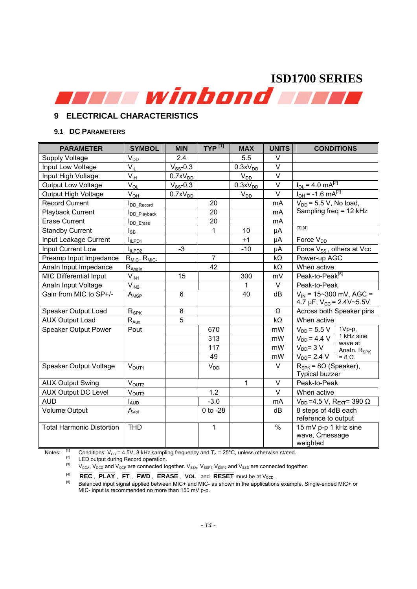#### **9 ELECTRICAL CHARACTERISTICS**

#### **9.1 DC PARAMETERS**

| <b>SYMBOL</b>           | <b>MIN</b>                                                                                                                                                                                  | $TYP^{[1]}$    | <b>MAX</b>                                                              | <b>UNITS</b> | <b>CONDITIONS</b>                                                                            |  |
|-------------------------|---------------------------------------------------------------------------------------------------------------------------------------------------------------------------------------------|----------------|-------------------------------------------------------------------------|--------------|----------------------------------------------------------------------------------------------|--|
|                         | 2.4                                                                                                                                                                                         |                | 5.5                                                                     | $\vee$       |                                                                                              |  |
| $V_{IL}$                | $V_{SS}$ -0.3                                                                                                                                                                               |                | 0.3xV <sub>DD</sub>                                                     | $\vee$       |                                                                                              |  |
| $V_{\text{IH}}$         | 0.7xV <sub>DD</sub>                                                                                                                                                                         |                | $V_{DD}$                                                                | V            |                                                                                              |  |
| $V_{OL}$                | $V_{SS}$ -0.3                                                                                                                                                                               |                | 0.3xV <sub>DD</sub>                                                     | $\vee$       | $I_{OL} = 4.0$ mA <sup>[2]</sup>                                                             |  |
| $V_{OH}$                | 0.7xV <sub>DD</sub>                                                                                                                                                                         |                | $V_{DD}$                                                                | $\vee$       | $I_{OH}$ = -1.6 mA <sup>[2]</sup>                                                            |  |
| DD_Record               |                                                                                                                                                                                             | 20             |                                                                         | mA           | $V_{DD}$ = 5.5 V, No load,                                                                   |  |
| DD_Playback             |                                                                                                                                                                                             | 20             |                                                                         | mA           | Sampling freq = 12 kHz                                                                       |  |
| I <sub>DD</sub> Erase   |                                                                                                                                                                                             | 20             |                                                                         | mA           |                                                                                              |  |
| $I_{\mathsf{SB}}$       |                                                                                                                                                                                             | 1              | 10                                                                      | μA           | [3] [4]                                                                                      |  |
| ILPD1                   |                                                                                                                                                                                             |                | ±1                                                                      | μA           | Force V <sub>DD</sub>                                                                        |  |
|                         | $-3$                                                                                                                                                                                        |                | $-10$                                                                   | μA           | Force V <sub>SS</sub> , others at Vcc                                                        |  |
| $R_{MIC+}$ , $R_{MIC-}$ |                                                                                                                                                                                             | $\overline{7}$ |                                                                         | kΩ           | Power-up AGC                                                                                 |  |
| $R_{\text{Analn}}$      |                                                                                                                                                                                             | 42             |                                                                         | $k\Omega$    | When active                                                                                  |  |
| $V_{IN1}$               | 15                                                                                                                                                                                          |                | 300                                                                     | mV           | Peak-to-Peak <sup>[5]</sup>                                                                  |  |
| $V_{IN2}$               |                                                                                                                                                                                             |                | 1                                                                       | V            | Peak-to-Peak                                                                                 |  |
| $A_{MSP}$               | $6\phantom{1}$                                                                                                                                                                              |                | 40                                                                      | dB           | $V_{IN}$ = 15~300 mV, AGC =                                                                  |  |
|                         |                                                                                                                                                                                             |                |                                                                         |              | 4.7 µF, $V_{CC}$ = 2.4V~5.5V                                                                 |  |
|                         |                                                                                                                                                                                             |                |                                                                         | Ω            | Across both Speaker pins                                                                     |  |
|                         |                                                                                                                                                                                             |                |                                                                         |              | When active                                                                                  |  |
|                         |                                                                                                                                                                                             |                |                                                                         |              | 1Vp-p,<br>$V_{DD}$ = 5.5 V                                                                   |  |
|                         |                                                                                                                                                                                             |                |                                                                         |              | 1 kHz sine<br>$V_{DD} = 4.4 V$<br>wave at                                                    |  |
|                         |                                                                                                                                                                                             |                |                                                                         |              | $V_{DD} = 3 V$<br>Analn. R <sub>SPK</sub>                                                    |  |
|                         |                                                                                                                                                                                             |                |                                                                         |              | $V_{DD} = 2.4 V$<br>$= 8 \Omega$ .                                                           |  |
|                         |                                                                                                                                                                                             | $V_{DD}$       |                                                                         |              | $R_{SPK}$ = 8 $\Omega$ (Speaker),                                                            |  |
|                         |                                                                                                                                                                                             |                |                                                                         |              | <b>Typical buzzer</b>                                                                        |  |
|                         |                                                                                                                                                                                             |                |                                                                         |              | Peak-to-Peak                                                                                 |  |
|                         |                                                                                                                                                                                             |                |                                                                         |              | When active                                                                                  |  |
|                         |                                                                                                                                                                                             |                |                                                                         |              | $V_{DD}$ =4.5 V, R <sub>EXT</sub> = 390 $\Omega$                                             |  |
|                         |                                                                                                                                                                                             |                |                                                                         |              | 8 steps of 4dB each                                                                          |  |
|                         |                                                                                                                                                                                             |                |                                                                         |              | reference to output                                                                          |  |
|                         |                                                                                                                                                                                             |                |                                                                         |              | 15 mV p-p 1 kHz sine<br>wave, Cmessage                                                       |  |
|                         |                                                                                                                                                                                             |                |                                                                         |              | weighted                                                                                     |  |
|                         | $\mathsf{V}_{\mathsf{DD}}$<br>$I_{ILPD2}$<br>$R_{SPK}$<br>$R_{\text{Aux}}$<br>Pout<br>V <sub>OUT1</sub><br>V <sub>OUT2</sub><br>V <sub>OUT3</sub><br><b>LAUD</b><br>$A_{Vol}$<br><b>THD</b> | 8<br>5         | 670<br>313<br>117<br>49<br>1.2<br>$-3.0$<br>$0$ to $-28$<br>$\mathbf 1$ | $\mathbf{1}$ | $k\Omega$<br>mW<br>mW<br>mW<br>mW<br>$\vee$<br>$\vee$<br>$\vee$<br>mA<br>dB<br>$\frac{0}{0}$ |  |

Notes:  $\frac{1}{2}$  Conditions:  $V_{CC} = 4.5V$ , 8 kHz sampling frequency and  $T_A = 25^\circ C$ , unless otherwise stated.<br>  $\frac{1}{2}$  LED output during Record operation.

 $V_{\text{CCA}}$ ,  $V_{\text{CCD}}$  and  $V_{\text{CCP}}$  are connected together.  $V_{SSA}$ ,  $V_{SSP1}$ ,  $V_{SSP2}$  and  $V_{SSD}$  are connected together.

 $\overline{\text{REC}}$ ,  $\overline{\text{PLAY}}$ ,  $\overline{\text{FT}}$ ,  $\overline{\text{FWD}}$ ,  $\overline{\text{ERASE}}$ ,  $\overline{\text{VOL}}$  and  $\overline{\text{RESET}}$  must be at  $V_{\text{CCD}}$ .<br>  $^{[5]}$  Balanced input signal applied between MIC+ and MIC- as shown in the applications example. Single-en MIC- input is recommended no more than 150 mV p-p.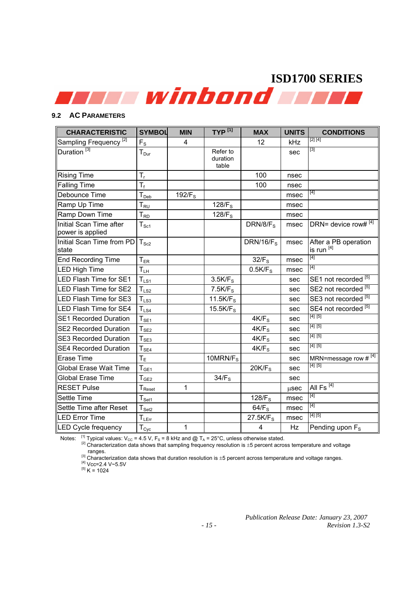#### **9.2 AC PARAMETERS**

| <b>CHARACTERISTIC</b>                       | <b>SYMBOL</b>                     | <b>MIN</b>         | $TYP^{[1]}$                   | <b>MAX</b>           | <b>UNITS</b> | <b>CONDITIONS</b>                  |
|---------------------------------------------|-----------------------------------|--------------------|-------------------------------|----------------------|--------------|------------------------------------|
| Sampling Frequency <sup>[2]</sup>           | $F_{S}$                           | 4                  |                               | 12                   | kHz          | [2] [4]                            |
| Duration <sup>[3]</sup>                     | $T_{\text{Dur}}$                  |                    | Refer to<br>duration<br>table |                      | sec          | $[3]$                              |
| <b>Rising Time</b>                          | $T_r$                             |                    |                               | 100                  | nsec         |                                    |
| <b>Falling Time</b>                         | $T_f$                             |                    |                               | 100                  | nsec         |                                    |
| Debounce Time                               | T <sub>Deb</sub>                  | 192/F <sub>S</sub> |                               |                      | msec         | [4]                                |
| Ramp Up Time                                | ${\sf T}_{\sf RU}$                |                    | 128/F <sub>s</sub>            |                      | msec         |                                    |
| Ramp Down Time                              | $T_{RD}$                          |                    | 128/F <sub>s</sub>            |                      | msec         |                                    |
| Initial Scan Time after<br>power is applied | $T_{\rm Sc1}$                     |                    |                               | DRN/8/F <sub>S</sub> | msec         | DRN= device row# $\frac{4}{[4]}$   |
| Initial Scan Time from PD<br>state          | $T_{Sc2}$                         |                    |                               | DRN/16/ $F_S$        | msec         | After a PB operation<br>is run [4] |
| <b>End Recording Time</b>                   | $\mathsf{T}_{\mathsf{ER}}$        |                    |                               | 32/F <sub>S</sub>    | msec         | $[4]$                              |
| <b>LED High Time</b>                        | $T_{LH}$                          |                    |                               | 0.5K/F <sub>s</sub>  | msec         | $[4]$                              |
| <b>LED Flash Time for SE1</b>               | $T_{LS1}$                         |                    | 3.5K/F <sub>s</sub>           |                      | sec          | SE1 not recorded <sup>[5]</sup>    |
| <b>LED Flash Time for SE2</b>               | $T_{LS2}$                         |                    | 7.5K/F <sub>s</sub>           |                      | sec          | SE2 not recorded [5]               |
| <b>LED Flash Time for SE3</b>               | $T_{LS3}$                         |                    | 11.5K/F <sub>s</sub>          |                      | sec          | SE3 not recorded [5]               |
| LED Flash Time for SE4                      | $T_{LS4}$                         |                    | 15.5K/F <sub>s</sub>          |                      | sec          | SE4 not recorded <sup>[5]</sup>    |
| <b>SE1 Recorded Duration</b>                | $T_{SE1}$                         |                    |                               | 4K/F <sub>s</sub>    | sec          | $[4]$ $[5]$                        |
| <b>SE2 Recorded Duration</b>                | $T_{SE2}$                         |                    |                               | 4K/F <sub>s</sub>    | sec          | [4] [5]                            |
| <b>SE3 Recorded Duration</b>                | $T_{S\underline{\underline{F3}}}$ |                    |                               | 4K/F <sub>s</sub>    | sec          | [4] [5]                            |
| <b>SE4 Recorded Duration</b>                | $T_{SE4}$                         |                    |                               | 4K/F <sub>s</sub>    | sec          | [4] [5]                            |
| Erase Time                                  | Τ <sub>Ε</sub>                    |                    | 10MRN/ $F_S$                  |                      | sec          | MRN=message row $#^{[4]}$          |
| Global Erase Wait Time                      | $T_{GE1}$                         |                    |                               | 20K/F <sub>s</sub>   | sec          | [4] [5]                            |
| <b>Global Erase Time</b>                    | $\mathsf{T}_{\mathsf{GE2}}$       |                    | 34/F <sub>s</sub>             |                      | sec          |                                    |
| <b>RESET Pulse</b>                          | ${\mathsf T}_{\mathsf{Reset}}$    | $\mathbf{1}$       |                               |                      | usec         | All $\overline{Fs^{[4]}}$          |
| Settle Time                                 | $T_{\text{Set1}}$                 |                    |                               | 128/ $F_s$           | msec         | $[4]$                              |
| Settle Time after Reset                     | $T_{\texttt{Set2}}$               |                    |                               | 64/F <sub>s</sub>    | msec         | $[4]$                              |
| <b>LED Error Time</b>                       | $T_{LE_{\underline{rr}}}$         |                    |                               | 27.5K/F <sub>s</sub> | msec         | [4] [5]                            |
| <b>LED Cycle frequency</b>                  | $T_{\text{Cyc}}$                  | 1                  |                               | 4                    | Hz           | Pending upon F <sub>s</sub>        |

Notes:  $\frac{1}{2}$  Typical values:  $V_{CC} = 4.5 V$ ,  $F_s = 8$  kHz and @ T<sub>A</sub> = 25°C, unless otherwise stated.<br>
<sup>[2]</sup> Characterization data shows that sampling frequency resolution is ±5 percent across temperature and voltage ran

<sup>ranges.</sup><br>
<sup>[3]</sup> Characterization data shows that duration resolution is  $\pm 5$  percent across temperature and voltage ranges.<br>
<sup>[5]</sup> K = 1024<br>
<sup>[5]</sup> K = 1024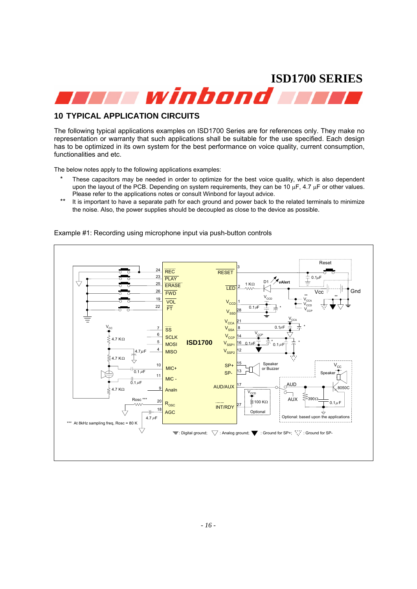

#### **10 TYPICAL APPLICATION CIRCUITS**

The following typical applications examples on ISD1700 Series are for references only. They make no representation or warranty that such applications shall be suitable for the use specified. Each design has to be optimized in its own system for the best performance on voice quality, current consumption, functionalities and etc.

The below notes apply to the following applications examples:

- These capacitors may be needed in order to optimize for the best voice quality, which is also dependent upon the layout of the PCB. Depending on system requirements, they can be 10  $\mu$ F, 4.7  $\mu$ F or other values. Please refer to the applications notes or consult Winbond for layout advice.
- \*\* It is important to have a separate path for each ground and power back to the related terminals to minimize the noise. Also, the power supplies should be decoupled as close to the device as possible.



Example #1: Recording using microphone input via push-button controls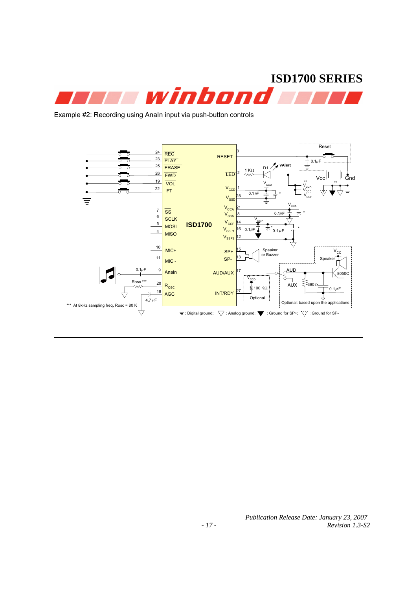

Example #2: Recording using AnaIn input via push-button controls

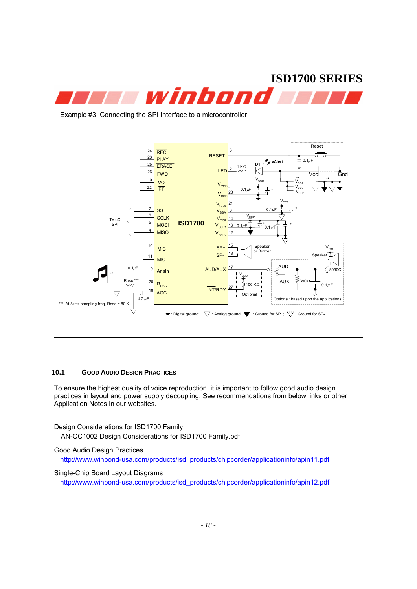

Example #3: Connecting the SPI Interface to a microcontroller



#### **10.1 GOOD AUDIO DESIGN PRACTICES**

To ensure the highest quality of voice reproduction, it is important to follow good audio design practices in layout and power supply decoupling. See recommendations from below links or other Application Notes in our websites.

Design Considerations for ISD1700 Family

AN-CC1002 Design Considerations for ISD1700 Family.pdf

Good Audio Design Practices

http://www.winbond-usa.com/products/isd\_products/chipcorder/applicationinfo/apin11.pdf

Single-Chip Board Layout Diagrams

http://www.winbond-usa.com/products/isd\_products/chipcorder/applicationinfo/apin12.pdf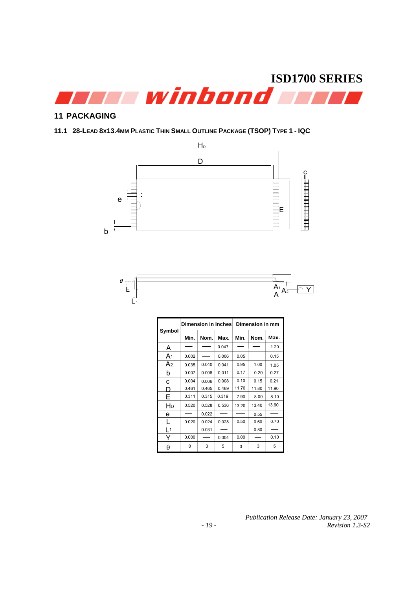

#### **11 PACKAGING**

#### **11.1 28-LEAD 8X13.4MM PLASTIC THIN SMALL OUTLINE PACKAGE (TSOP) TYPE 1 - IQC**





|                |       |       | Dimension in Inches | Dimension in mm |       |       |  |
|----------------|-------|-------|---------------------|-----------------|-------|-------|--|
| Symbol         | Min.  | Nom.  | Max.                | Min.            | Nom.  | Max.  |  |
| А              |       |       | 0.047               |                 |       | 1.20  |  |
| A <sub>1</sub> | 0.002 |       | 0.006               | 0.05            |       | 0.15  |  |
| A <sub>2</sub> | 0.035 | 0.040 | 0.041               | 0.95            | 1.00  | 1.05  |  |
| b              | 0.007 | 0.008 | 0.011               | 0.17            | 0.20  | 0.27  |  |
| с              | 0.004 | 0.006 | 0.008               | 0.10            | 0.15  | 0.21  |  |
| D              | 0.461 | 0.465 | 0.469               | 11.70           | 11.80 | 11.90 |  |
| Е              | 0.311 | 0.315 | 0.319               | 7.90            | 8.00  | 8.10  |  |
| HD             | 0.520 | 0.528 | 0.536               | 13.20           | 13.40 | 13.60 |  |
| e              |       | 0.022 |                     |                 | 0.55  |       |  |
|                | 0.020 | 0.024 | 0.028               | 0.50            | 0.60  | 0.70  |  |
| $\mathsf{L}$   |       | 0.031 |                     |                 | 0.80  |       |  |
| Y              | 0.000 |       | 0.004               | 0.00            |       | 0.10  |  |
| θ              | 0     | 3     | 5                   | 0               | 3     | 5     |  |

 *Publication Release Date: January 23, 2007 Revision 1.3-S2*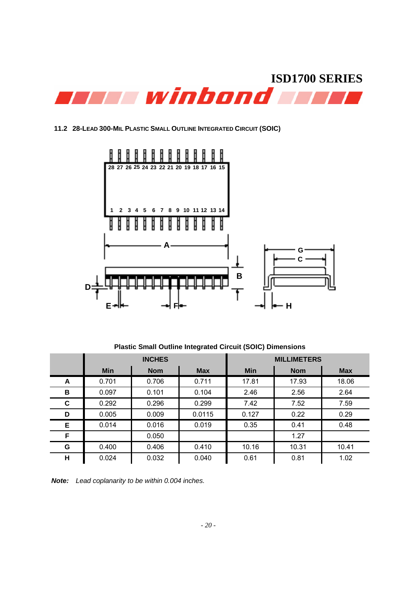

#### **11.2 28-LEAD 300-MIL PLASTIC SMALL OUTLINE INTEGRATED CIRCUIT (SOIC)**



**Plastic Small Outline Integrated Circuit (SOIC) Dimensions**

|   |            | <b>INCHES</b> |            | <b>MILLIMETERS</b> |            |            |  |
|---|------------|---------------|------------|--------------------|------------|------------|--|
|   | <b>Min</b> | <b>Nom</b>    | <b>Max</b> | <b>Min</b>         | <b>Nom</b> | <b>Max</b> |  |
| A | 0.701      | 0.706         | 0.711      | 17.81              | 17.93      | 18.06      |  |
| В | 0.097      | 0.101         | 0.104      | 2.46               | 2.56       | 2.64       |  |
| C | 0.292      | 0.296         | 0.299      | 7.42               | 7.52       | 7.59       |  |
| D | 0.005      | 0.009         | 0.0115     | 0.127              | 0.22       | 0.29       |  |
| Е | 0.014      | 0.016         | 0.019      | 0.35               | 0.41       | 0.48       |  |
| F |            | 0.050         |            |                    | 1.27       |            |  |
| G | 0.400      | 0.406         | 0.410      | 10.16              | 10.31      | 10.41      |  |
| н | 0.024      | 0.032         | 0.040      | 0.61               | 0.81       | 1.02       |  |

*Note: Lead coplanarity to be within 0.004 inches.*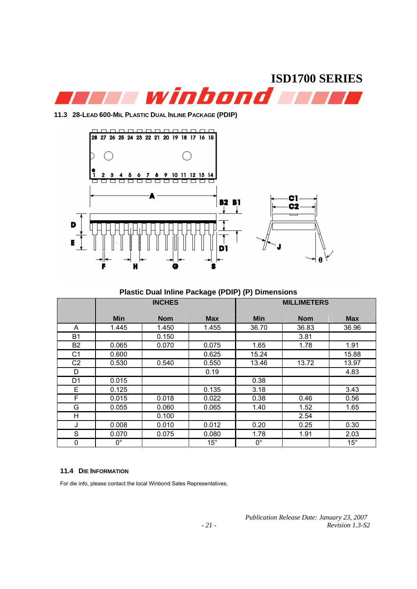

**11.3 28-LEAD 600-MIL PLASTIC DUAL INLINE PACKAGE (PDIP)**



**Plastic Dual Inline Package (PDIP) (P) Dimensions**

|                | <b>INCHES</b> |            |              | <b>MILLIMETERS</b> |            |              |
|----------------|---------------|------------|--------------|--------------------|------------|--------------|
|                | <b>Min</b>    | <b>Nom</b> | <b>Max</b>   | <b>Min</b>         | <b>Nom</b> | <b>Max</b>   |
| A              | 1.445         | 1.450      | 1.455        | 36.70              | 36.83      | 36.96        |
| <b>B1</b>      |               | 0.150      |              |                    | 3.81       |              |
| B <sub>2</sub> | 0.065         | 0.070      | 0.075        | 1.65               | 1.78       | 1.91         |
| C <sub>1</sub> | 0.600         |            | 0.625        | 15.24              |            | 15.88        |
| C2             | 0.530         | 0.540      | 0.550        | 13.46              | 13.72      | 13.97        |
| D              |               |            | 0.19         |                    |            | 4.83         |
| D <sub>1</sub> | 0.015         |            |              | 0.38               |            |              |
| Е              | 0.125         |            | 0.135        | 3.18               |            | 3.43         |
| F              | 0.015         | 0.018      | 0.022        | 0.38               | 0.46       | 0.56         |
| G              | 0.055         | 0.060      | 0.065        | 1.40               | 1.52       | 1.65         |
| н              |               | 0.100      |              |                    | 2.54       |              |
| J              | 0.008         | 0.010      | 0.012        | 0.20               | 0.25       | 0.30         |
| S              | 0.070         | 0.075      | 0.080        | 1.78               | 1.91       | 2.03         |
| 0              | $0^{\circ}$   |            | $15^{\circ}$ | 0°                 |            | $15^{\circ}$ |

#### **11.4 DIE INFORMATION**

For die info, please contact the local Winbond Sales Representatives.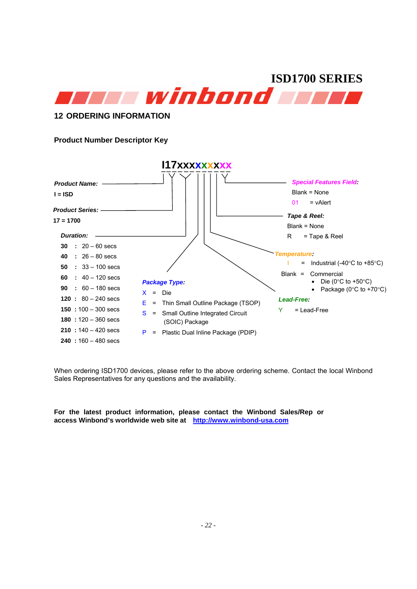

#### **12 ORDERING INFORMATION**

#### **Product Number Descriptor Key**



When ordering ISD1700 devices, please refer to the above ordering scheme. Contact the local Winbond Sales Representatives for any questions and the availability.

**For the latest product information, please contact the Winbond Sales/Rep or access Winbond's worldwide web site at http://www.winbond-usa.com**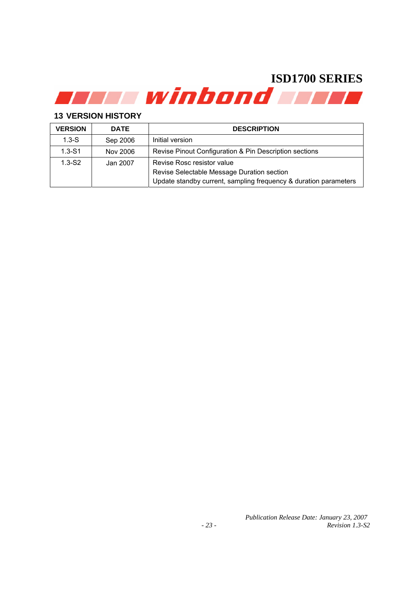#### **13 VERSION HISTORY**

| <b>VERSION</b> | <b>DATE</b> | <b>DESCRIPTION</b>                                               |  |
|----------------|-------------|------------------------------------------------------------------|--|
| $1.3 - S$      | Sep 2006    | Initial version                                                  |  |
| $1.3 - S1$     | Nov 2006    | Revise Pinout Configuration & Pin Description sections           |  |
| $1.3-S2$       | Jan 2007    | Revise Rosc resistor value                                       |  |
|                |             | Revise Selectable Message Duration section                       |  |
|                |             | Update standby current, sampling frequency & duration parameters |  |